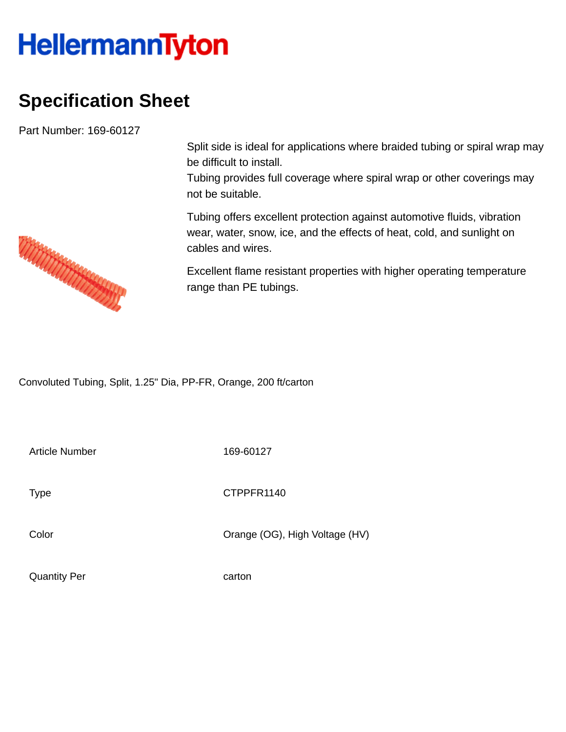## **HellermannTyton**

## **Specification Sheet**

Part Number: 169-60127

Split side is ideal for applications where braided tubing or spiral wrap may be difficult to install.

Tubing provides full coverage where spiral wrap or other coverings may not be suitable.

Tubing offers excellent protection against automotive fluids, vibration wear, water, snow, ice, and the effects of heat, cold, and sunlight on cables and wires.

Excellent flame resistant properties with higher operating temperature range than PE tubings.

Convoluted Tubing, Split, 1.25" Dia, PP-FR, Orange, 200 ft/carton

Article Number 169-60127

Type **CTPPFR1140** 

Color Color Color Color Color Color Color Color Color Color Color Color Color Color Color Color Color Color Co

Quantity Per carton

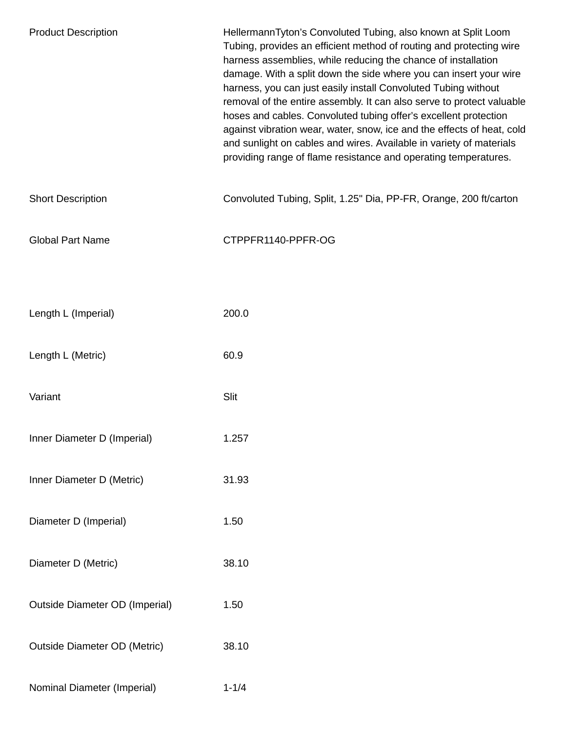| <b>Product Description</b>            | HellermannTyton's Convoluted Tubing, also known at Split Loom<br>Tubing, provides an efficient method of routing and protecting wire<br>harness assemblies, while reducing the chance of installation<br>damage. With a split down the side where you can insert your wire<br>harness, you can just easily install Convoluted Tubing without<br>removal of the entire assembly. It can also serve to protect valuable<br>hoses and cables. Convoluted tubing offer's excellent protection<br>against vibration wear, water, snow, ice and the effects of heat, cold<br>and sunlight on cables and wires. Available in variety of materials<br>providing range of flame resistance and operating temperatures. |
|---------------------------------------|---------------------------------------------------------------------------------------------------------------------------------------------------------------------------------------------------------------------------------------------------------------------------------------------------------------------------------------------------------------------------------------------------------------------------------------------------------------------------------------------------------------------------------------------------------------------------------------------------------------------------------------------------------------------------------------------------------------|
| <b>Short Description</b>              | Convoluted Tubing, Split, 1.25" Dia, PP-FR, Orange, 200 ft/carton                                                                                                                                                                                                                                                                                                                                                                                                                                                                                                                                                                                                                                             |
| <b>Global Part Name</b>               | CTPPFR1140-PPFR-OG                                                                                                                                                                                                                                                                                                                                                                                                                                                                                                                                                                                                                                                                                            |
|                                       |                                                                                                                                                                                                                                                                                                                                                                                                                                                                                                                                                                                                                                                                                                               |
| Length L (Imperial)                   | 200.0                                                                                                                                                                                                                                                                                                                                                                                                                                                                                                                                                                                                                                                                                                         |
| Length L (Metric)                     | 60.9                                                                                                                                                                                                                                                                                                                                                                                                                                                                                                                                                                                                                                                                                                          |
| Variant                               | Slit                                                                                                                                                                                                                                                                                                                                                                                                                                                                                                                                                                                                                                                                                                          |
| Inner Diameter D (Imperial)           | 1.257                                                                                                                                                                                                                                                                                                                                                                                                                                                                                                                                                                                                                                                                                                         |
| Inner Diameter D (Metric)             | 31.93                                                                                                                                                                                                                                                                                                                                                                                                                                                                                                                                                                                                                                                                                                         |
| Diameter D (Imperial)                 | 1.50                                                                                                                                                                                                                                                                                                                                                                                                                                                                                                                                                                                                                                                                                                          |
| Diameter D (Metric)                   | 38.10                                                                                                                                                                                                                                                                                                                                                                                                                                                                                                                                                                                                                                                                                                         |
| <b>Outside Diameter OD (Imperial)</b> | 1.50                                                                                                                                                                                                                                                                                                                                                                                                                                                                                                                                                                                                                                                                                                          |
| <b>Outside Diameter OD (Metric)</b>   | 38.10                                                                                                                                                                                                                                                                                                                                                                                                                                                                                                                                                                                                                                                                                                         |
| Nominal Diameter (Imperial)           | $1 - 1/4$                                                                                                                                                                                                                                                                                                                                                                                                                                                                                                                                                                                                                                                                                                     |